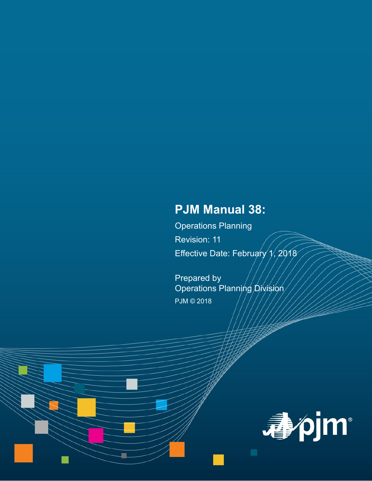# **PJM Manual 38:**

Operations Planning Revision: 11 Effective Date: February  $\sqrt{1/2018}$ 

Prepared by Operations Planning Division PJM © 2018

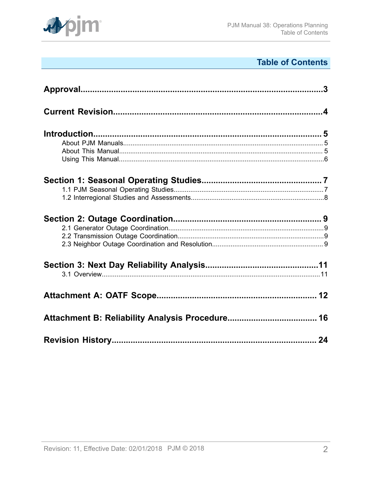

# **Table of Contents**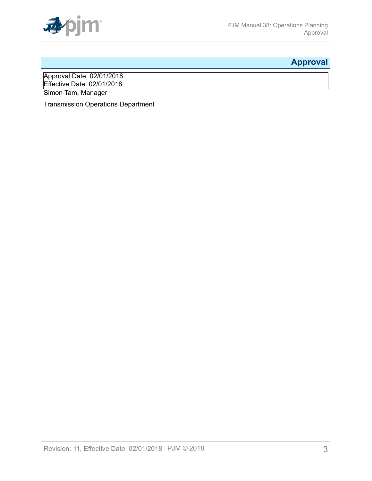

# <span id="page-2-0"></span>**Approval**

Approval Date: 02/01/2018 Effective Date: 02/01/2018 Simon Tam, Manager

Transmission Operations Department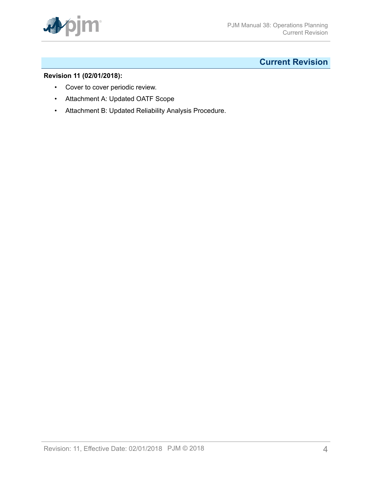

# <span id="page-3-0"></span>**Current Revision**

# **Revision 11 (02/01/2018):**

- Cover to cover periodic review.
- Attachment A: Updated OATF Scope
- Attachment B: Updated Reliability Analysis Procedure.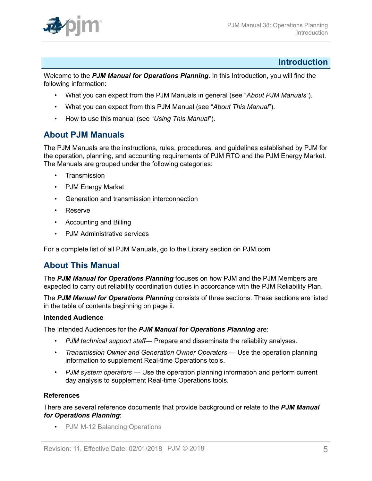

# <span id="page-4-0"></span>**Introduction**

W*e*lcome to the *PJM Manual for Operations Planning*. In this Introduction, you will find the following information:

- What you can expect from the PJM Manuals in general (see "*About PJM Manuals*").
- What you can expect from this PJM Manual (see "*About This Manual*").
- How to use this manual (see "*Using This Manual*").

# <span id="page-4-1"></span>**About PJM Manuals**

The PJM Manuals are the instructions, rules, procedures, and guidelines established by PJM for the operation, planning, and accounting requirements of PJM RTO and the PJM Energy Market. The Manuals are grouped under the following categories:

- **Transmission**
- PJM Energy Market
- Generation and transmission interconnection
- Reserve
- Accounting and Billing
- PJM Administrative services

For a complete list of all PJM Manuals, go to the Library section on PJM.com

# <span id="page-4-2"></span>**About This Manual**

The *PJM Manual for Operations Planning* focuses on how PJM and the PJM Members are expected to carry out reliability coordination duties in accordance with the PJM Reliability Plan.

The *PJM Manual for Operations Planning* consists of three sections. These sections are listed in the table of contents beginning on page ii.

# **Intended Audience**

The Intended Audiences for the *PJM Manual for Operations Planning* are:

- *PJM technical support staff* Prepare and disseminate the reliability analyses.
- *Transmission Owner and Generation Owner Operators* Use the operation planning information to supplement Real-time Operations tools.
- *PJM system operators* Use the operation planning information and perform current day analysis to supplement Real-time Operations tools.

# **References**

There are several reference documents that provide background or relate to the *PJM Manual for Operations Planning*:

• [PJM M-12 Balancing Operations](http://www.pjm.com/~/media/documents/manuals/m12.ashx)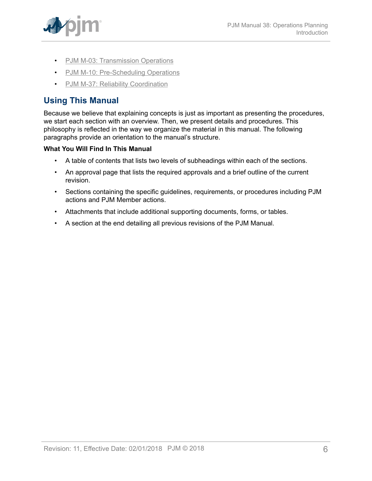

- PJM M-03: [Transmission](http://www.pjm.com/~/media/documents/manuals/m03.ashx) Operations
- [PJM M-10: Pre-Scheduling Operations](http://www.pjm.com/~/media/documents/manuals/m10.ashx)
- [PJM M-37: Reliability Coordination](http://pjm.com/~/media/documents/manuals/m37.ashx)

# <span id="page-5-0"></span>**Using This Manual**

Because we believe that explaining concepts is just as important as presenting the procedures, we start each section with an overview. Then, we present details and procedures. This philosophy is reflected in the way we organize the material in this manual. The following paragraphs provide an orientation to the manual's structure.

# **What You Will Find In This Manual**

- A table of contents that lists two levels of subheadings within each of the sections.
- An approval page that lists the required approvals and a brief outline of the current revision.
- Sections containing the specific guidelines, requirements, or procedures including PJM actions and PJM Member actions.
- Attachments that include additional supporting documents, forms, or tables.
- A section at the end detailing all previous revisions of the PJM Manual.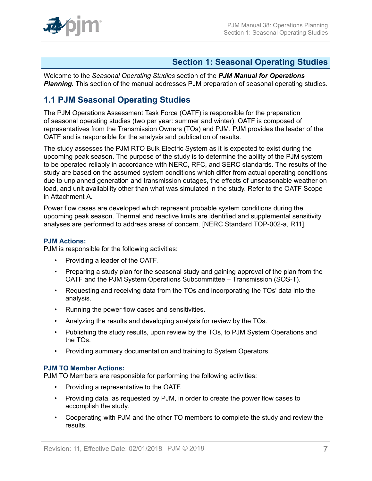

# <span id="page-6-0"></span>**Section 1: Seasonal Operating Studies**

Welcome to the *Seasonal Operating Studies* section of the *PJM Manual for Operations* **Planning.** This section of the manual addresses PJM preparation of seasonal operating studies.

# <span id="page-6-1"></span>**1.1 PJM Seasonal Operating Studies**

The PJM Operations Assessment Task Force (OATF) is responsible for the preparation of seasonal operating studies (two per year: summer and winter). OATF is composed of representatives from the Transmission Owners (TOs) and PJM. PJM provides the leader of the OATF and is responsible for the analysis and publication of results.

The study assesses the PJM RTO Bulk Electric System as it is expected to exist during the upcoming peak season. The purpose of the study is to determine the ability of the PJM system to be operated reliably in accordance with NERC, RFC, and SERC standards. The results of the study are based on the assumed system conditions which differ from actual operating conditions due to unplanned generation and transmission outages, the effects of unseasonable weather on load, and unit availability other than what was simulated in the study. Refer to the OATF Scope in Attachment A.

Power flow cases are developed which represent probable system conditions during the upcoming peak season. Thermal and reactive limits are identified and supplemental sensitivity analyses are performed to address areas of concern. [NERC Standard TOP-002-a, R11].

#### **PJM Actions:**

PJM is responsible for the following activities:

- Providing a leader of the OATF.
- Preparing a study plan for the seasonal study and gaining approval of the plan from the OATF and the PJM System Operations Subcommittee – Transmission (SOS-T).
- Requesting and receiving data from the TOs and incorporating the TOs' data into the analysis.
- Running the power flow cases and sensitivities.
- Analyzing the results and developing analysis for review by the TOs.
- Publishing the study results, upon review by the TOs, to PJM System Operations and the TOs.
- Providing summary documentation and training to System Operators.

# **PJM TO Member Actions:**

PJM TO Members are responsible for performing the following activities:

- Providing a representative to the OATF.
- Providing data, as requested by PJM, in order to create the power flow cases to accomplish the study.
- Cooperating with PJM and the other TO members to complete the study and review the results.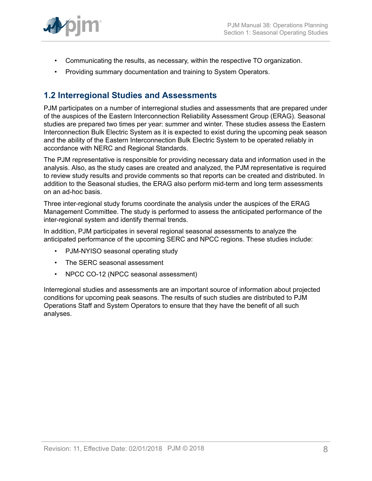

- Communicating the results, as necessary, within the respective TO organization.
- Providing summary documentation and training to System Operators.

# <span id="page-7-0"></span>**1.2 Interregional Studies and Assessments**

PJM participates on a number of interregional studies and assessments that are prepared under of the auspices of the Eastern Interconnection Reliability Assessment Group (ERAG). Seasonal studies are prepared two times per year: summer and winter. These studies assess the Eastern Interconnection Bulk Electric System as it is expected to exist during the upcoming peak season and the ability of the Eastern Interconnection Bulk Electric System to be operated reliably in accordance with NERC and Regional Standards.

The PJM representative is responsible for providing necessary data and information used in the analysis. Also, as the study cases are created and analyzed, the PJM representative is required to review study results and provide comments so that reports can be created and distributed. In addition to the Seasonal studies, the ERAG also perform mid-term and long term assessments on an ad-hoc basis.

Three inter-regional study forums coordinate the analysis under the auspices of the ERAG Management Committee. The study is performed to assess the anticipated performance of the inter-regional system and identify thermal trends.

In addition, PJM participates in several regional seasonal assessments to analyze the anticipated performance of the upcoming SERC and NPCC regions. These studies include:

- PJM-NYISO seasonal operating study
- The SERC seasonal assessment
- NPCC CO-12 (NPCC seasonal assessment)

Interregional studies and assessments are an important source of information about projected conditions for upcoming peak seasons. The results of such studies are distributed to PJM Operations Staff and System Operators to ensure that they have the benefit of all such analyses.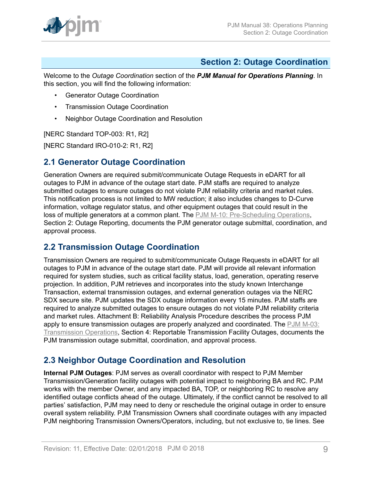

# <span id="page-8-0"></span>**Section 2: Outage Coordination**

Welcome to the *Outage Coordination* section of the *PJM Manual for Operations Planning*. In this section, you will find the following information:

- Generator Outage Coordination
- Transmission Outage Coordination
- Neighbor Outage Coordination and Resolution

[NERC Standard TOP-003: R1, R2]

[NERC Standard IRO-010-2: R1, R2]

# <span id="page-8-1"></span>**2.1 Generator Outage Coordination**

Generation Owners are required submit/communicate Outage Requests in eDART for all outages to PJM in advance of the outage start date. PJM staffs are required to analyze submitted outages to ensure outages do not violate PJM reliability criteria and market rules. This notification process is not limited to MW reduction; it also includes changes to D-Curve information, voltage regulator status, and other equipment outages that could result in the loss of multiple generators at a common plant. The [PJM M-10: Pre-Scheduling Operations](http://www.pjm.com/~/media/documents/manuals/m10.ashx), Section 2: Outage Reporting, documents the PJM generator outage submittal, coordination, and approval process.

# <span id="page-8-2"></span>**2.2 Transmission Outage Coordination**

Transmission Owners are required to submit/communicate Outage Requests in eDART for all outages to PJM in advance of the outage start date. PJM will provide all relevant information required for system studies, such as critical facility status, load, generation, operating reserve projection. In addition, PJM retrieves and incorporates into the study known Interchange Transaction, external transmission outages, and external generation outages via the NERC SDX secure site. PJM updates the SDX outage information every 15 minutes. PJM staffs are required to analyze submitted outages to ensure outages do not violate PJM reliability criteria and market rules. Attachment B: Reliability Analysis Procedure describes the process PJM apply to ensure transmission outages are properly analyzed and coordinated. The [PJM M-03:](http://www.pjm.com/~/media/documents/manuals/m03.ashx) [Transmission](http://www.pjm.com/~/media/documents/manuals/m03.ashx) Operations, Section 4: Reportable Transmission Facility Outages, documents the PJM transmission outage submittal, coordination, and approval process.

# <span id="page-8-3"></span>**2.3 Neighbor Outage Coordination and Resolution**

**Internal PJM Outages**: PJM serves as overall coordinator with respect to PJM Member Transmission/Generation facility outages with potential impact to neighboring BA and RC. PJM works with the member Owner, and any impacted BA, TOP, or neighboring RC to resolve any identified outage conflicts ahead of the outage. Ultimately, if the conflict cannot be resolved to all parties' satisfaction, PJM may need to deny or reschedule the original outage in order to ensure overall system reliability. PJM Transmission Owners shall coordinate outages with any impacted PJM neighboring Transmission Owners/Operators, including, but not exclusive to, tie lines. See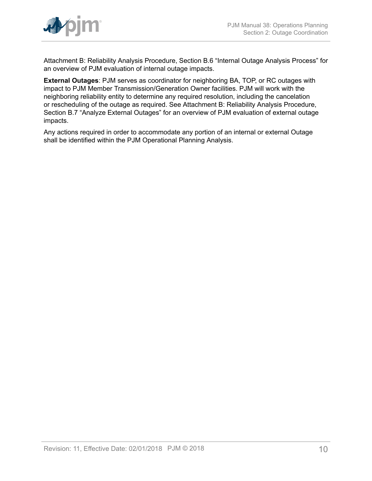

Attachment B: Reliability Analysis Procedure, Section B.6 "Internal Outage Analysis Process" for an overview of PJM evaluation of internal outage impacts.

**External Outages**: PJM serves as coordinator for neighboring BA, TOP, or RC outages with impact to PJM Member Transmission/Generation Owner facilities. PJM will work with the neighboring reliability entity to determine any required resolution, including the cancelation or rescheduling of the outage as required. See Attachment B: Reliability Analysis Procedure, Section B.7 "Analyze External Outages" for an overview of PJM evaluation of external outage impacts.

Any actions required in order to accommodate any portion of an internal or external Outage shall be identified within the PJM Operational Planning Analysis.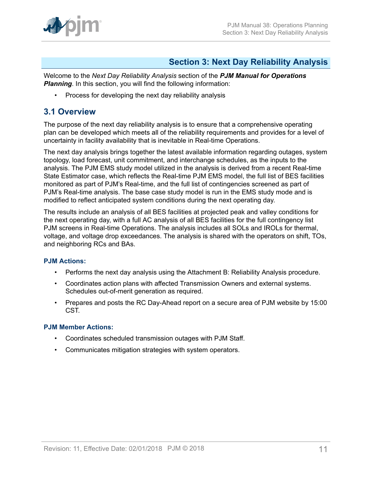

# <span id="page-10-0"></span>**Section 3: Next Day Reliability Analysis**

Welcome to the *Next Day Reliability Analysis* section of the *PJM Manual for Operations* **Planning**. In this section, you will find the following information:

• Process for developing the next day reliability analysis

# <span id="page-10-1"></span>**3.1 Overview**

The purpose of the next day reliability analysis is to ensure that a comprehensive operating plan can be developed which meets all of the reliability requirements and provides for a level of uncertainty in facility availability that is inevitable in Real-time Operations.

The next day analysis brings together the latest available information regarding outages, system topology, load forecast, unit commitment, and interchange schedules, as the inputs to the analysis. The PJM EMS study model utilized in the analysis is derived from a recent Real-time State Estimator case, which reflects the Real-time PJM EMS model, the full list of BES facilities monitored as part of PJM's Real-time, and the full list of contingencies screened as part of PJM's Real-time analysis. The base case study model is run in the EMS study mode and is modified to reflect anticipated system conditions during the next operating day.

The results include an analysis of all BES facilities at projected peak and valley conditions for the next operating day, with a full AC analysis of all BES facilities for the full contingency list PJM screens in Real-time Operations. The analysis includes all SOLs and IROLs for thermal, voltage, and voltage drop exceedances. The analysis is shared with the operators on shift, TOs, and neighboring RCs and BAs.

# **PJM Actions:**

- Performs the next day analysis using the Attachment B: Reliability Analysis procedure.
- Coordinates action plans with affected Transmission Owners and external systems. Schedules out-of-merit generation as required.
- Prepares and posts the RC Day-Ahead report on a secure area of PJM website by 15:00 CST.

# **PJM Member Actions:**

- Coordinates scheduled transmission outages with PJM Staff.
- Communicates mitigation strategies with system operators.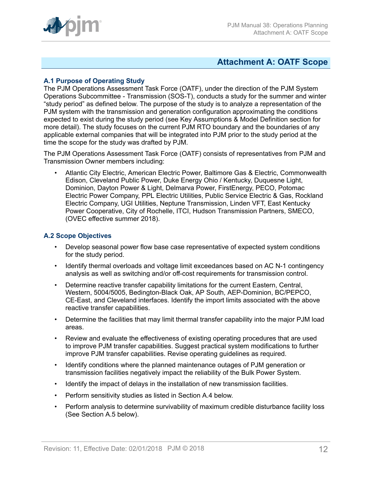

# <span id="page-11-0"></span>**Attachment A: OATF Scope**

# **A.1 Purpose of Operating Study**

The PJM Operations Assessment Task Force (OATF), under the direction of the PJM System Operations Subcommittee - Transmission (SOS-T), conducts a study for the summer and winter "study period" as defined below. The purpose of the study is to analyze a representation of the PJM system with the transmission and generation configuration approximating the conditions expected to exist during the study period (see Key Assumptions & Model Definition section for more detail). The study focuses on the current PJM RTO boundary and the boundaries of any applicable external companies that will be integrated into PJM prior to the study period at the time the scope for the study was drafted by PJM.

The PJM Operations Assessment Task Force (OATF) consists of representatives from PJM and Transmission Owner members including:

• Atlantic City Electric, American Electric Power, Baltimore Gas & Electric, Commonwealth Edison, Cleveland Public Power, Duke Energy Ohio / Kentucky, Duquesne Light, Dominion, Dayton Power & Light, Delmarva Power, FirstEnergy, PECO, Potomac Electric Power Company, PPL Electric Utilities, Public Service Electric & Gas, Rockland Electric Company, UGI Utilities, Neptune Transmission, Linden VFT, East Kentucky Power Cooperative, City of Rochelle, ITCI, Hudson Transmission Partners, SMECO, (OVEC effective summer 2018).

# **A.2 Scope Objectives**

- Develop seasonal power flow base case representative of expected system conditions for the study period.
- Identify thermal overloads and voltage limit exceedances based on AC N-1 contingency analysis as well as switching and/or off-cost requirements for transmission control.
- Determine reactive transfer capability limitations for the current Eastern, Central, Western, 5004/5005, Bedington-Black Oak, AP South, AEP-Dominion, BC/PEPCO, CE-East, and Cleveland interfaces. Identify the import limits associated with the above reactive transfer capabilities.
- Determine the facilities that may limit thermal transfer capability into the major PJM load areas.
- Review and evaluate the effectiveness of existing operating procedures that are used to improve PJM transfer capabilities. Suggest practical system modifications to further improve PJM transfer capabilities. Revise operating guidelines as required.
- Identify conditions where the planned maintenance outages of PJM generation or transmission facilities negatively impact the reliability of the Bulk Power System.
- Identify the impact of delays in the installation of new transmission facilities.
- Perform sensitivity studies as listed in Section A.4 below.
- Perform analysis to determine survivability of maximum credible disturbance facility loss (See Section A.5 below).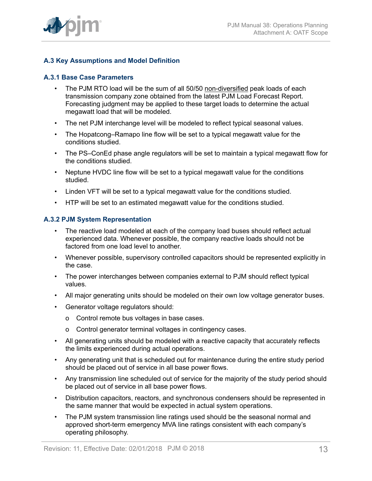

# **A.3 Key Assumptions and Model Definition**

# **A.3.1 Base Case Parameters**

- The PJM RTO load will be the sum of all 50/50 non-diversified peak loads of each transmission company zone obtained from the latest PJM Load Forecast Report. Forecasting judgment may be applied to these target loads to determine the actual megawatt load that will be modeled.
- The net PJM interchange level will be modeled to reflect typical seasonal values.
- The Hopatcong–Ramapo line flow will be set to a typical megawatt value for the conditions studied.
- The PS–ConEd phase angle regulators will be set to maintain a typical megawatt flow for the conditions studied.
- Neptune HVDC line flow will be set to a typical megawatt value for the conditions studied.
- Linden VFT will be set to a typical megawatt value for the conditions studied.
- HTP will be set to an estimated megawatt value for the conditions studied.

#### **A.3.2 PJM System Representation**

- The reactive load modeled at each of the company load buses should reflect actual experienced data. Whenever possible, the company reactive loads should not be factored from one load level to another.
- Whenever possible, supervisory controlled capacitors should be represented explicitly in the case.
- The power interchanges between companies external to PJM should reflect typical values.
- All major generating units should be modeled on their own low voltage generator buses.
- Generator voltage regulators should:
	- o Control remote bus voltages in base cases.
	- o Control generator terminal voltages in contingency cases.
- All generating units should be modeled with a reactive capacity that accurately reflects the limits experienced during actual operations.
- Any generating unit that is scheduled out for maintenance during the entire study period should be placed out of service in all base power flows.
- Any transmission line scheduled out of service for the majority of the study period should be placed out of service in all base power flows.
- Distribution capacitors, reactors, and synchronous condensers should be represented in the same manner that would be expected in actual system operations.
- The PJM system transmission line ratings used should be the seasonal normal and approved short-term emergency MVA line ratings consistent with each company's operating philosophy.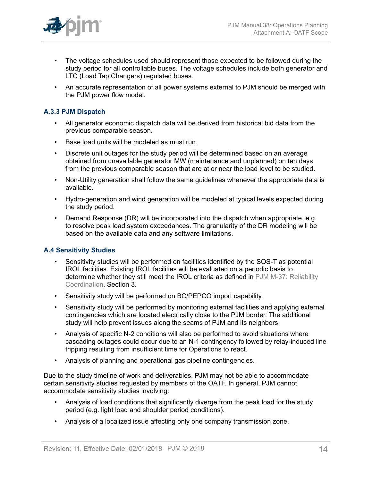

- The voltage schedules used should represent those expected to be followed during the study period for all controllable buses. The voltage schedules include both generator and LTC (Load Tap Changers) regulated buses.
- An accurate representation of all power systems external to PJM should be merged with the PJM power flow model.

# **A.3.3 PJM Dispatch**

- All generator economic dispatch data will be derived from historical bid data from the previous comparable season.
- Base load units will be modeled as must run.
- Discrete unit outages for the study period will be determined based on an average obtained from unavailable generator MW (maintenance and unplanned) on ten days from the previous comparable season that are at or near the load level to be studied.
- Non-Utility generation shall follow the same guidelines whenever the appropriate data is available.
- Hydro-generation and wind generation will be modeled at typical levels expected during the study period.
- Demand Response (DR) will be incorporated into the dispatch when appropriate, e.g. to resolve peak load system exceedances. The granularity of the DR modeling will be based on the available data and any software limitations.

# **A.4 Sensitivity Studies**

- Sensitivity studies will be performed on facilities identified by the SOS-T as potential IROL facilities. Existing IROL facilities will be evaluated on a periodic basis to determine whether they still meet the IROL criteria as defined in [PJM M-37: Reliability](http://pjm.com/~/media/documents/manuals/m37.ashx) [Coordination](http://pjm.com/~/media/documents/manuals/m37.ashx), Section 3.
- Sensitivity study will be performed on BC/PEPCO import capability.
- Sensitivity study will be performed by monitoring external facilities and applying external contingencies which are located electrically close to the PJM border. The additional study will help prevent issues along the seams of PJM and its neighbors.
- Analysis of specific N-2 conditions will also be performed to avoid situations where cascading outages could occur due to an N-1 contingency followed by relay-induced line tripping resulting from insufficient time for Operations to react.
- Analysis of planning and operational gas pipeline contingencies.

Due to the study timeline of work and deliverables, PJM may not be able to accommodate certain sensitivity studies requested by members of the OATF. In general, PJM cannot accommodate sensitivity studies involving:

- Analysis of load conditions that significantly diverge from the peak load for the study period (e.g. light load and shoulder period conditions).
- Analysis of a localized issue affecting only one company transmission zone.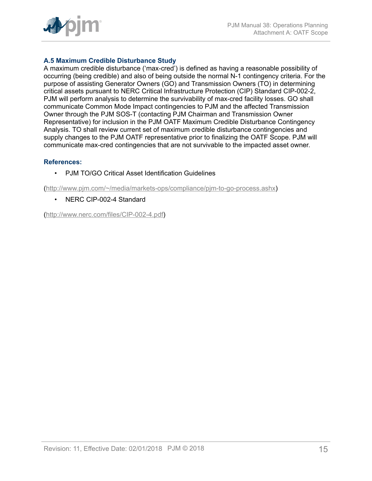

# **A.5 Maximum Credible Disturbance Study**

A maximum credible disturbance ('max-cred') is defined as having a reasonable possibility of occurring (being credible) and also of being outside the normal N-1 contingency criteria. For the purpose of assisting Generator Owners (GO) and Transmission Owners (TO) in determining critical assets pursuant to NERC Critical Infrastructure Protection (CIP) Standard CIP-002-2, PJM will perform analysis to determine the survivability of max-cred facility losses. GO shall communicate Common Mode Impact contingencies to PJM and the affected Transmission Owner through the PJM SOS-T (contacting PJM Chairman and Transmission Owner Representative) for inclusion in the PJM OATF Maximum Credible Disturbance Contingency Analysis. TO shall review current set of maximum credible disturbance contingencies and supply changes to the PJM OATF representative prior to finalizing the OATF Scope. PJM will communicate max-cred contingencies that are not survivable to the impacted asset owner.

#### **References:**

• PJM TO/GO Critical Asset Identification Guidelines

([http://www.pjm.com/~/media/markets-ops/compliance/pjm-to-go-process.ashx\)](http://www.pjm.com/~/media/markets-ops/compliance/pjm-to-go-process.ashx)

• NERC CIP-002-4 Standard

([http://www.nerc.com/files/CIP-002-4.pdf\)](http://www.nerc.com/files/CIP-002-4.pdf)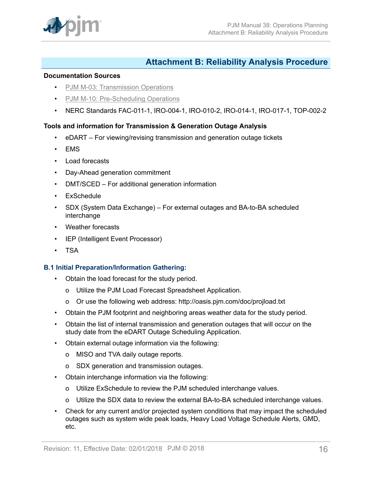

# <span id="page-15-0"></span>**Attachment B: Reliability Analysis Procedure**

#### **Documentation Sources**

- PJM M-03: [Transmission](http://www.pjm.com/~/media/documents/manuals/m03.ashx) Operations
- [PJM M-10: Pre-Scheduling Operations](http://www.pjm.com/~/media/documents/manuals/m10.ashx)
- NERC Standards FAC-011-1, IRO-004-1, IRO-010-2, IRO-014-1, IRO-017-1, TOP-002-2

# **Tools and information for Transmission & Generation Outage Analysis**

- eDART For viewing/revising transmission and generation outage tickets
- EMS
- Load forecasts
- Day-Ahead generation commitment
- DMT/SCED For additional generation information
- ExSchedule
- SDX (System Data Exchange) For external outages and BA-to-BA scheduled interchange
- Weather forecasts
- IEP (Intelligent Event Processor)
- TSA

# **B.1 Initial Preparation/Information Gathering:**

- Obtain the load forecast for the study period.
	- o Utilize the PJM Load Forecast Spreadsheet Application.
	- o Or use the following web address: http://oasis.pjm.com/doc/projload.txt
- Obtain the PJM footprint and neighboring areas weather data for the study period.
- Obtain the list of internal transmission and generation outages that will occur on the study date from the eDART Outage Scheduling Application.
- Obtain external outage information via the following:
	- o MISO and TVA daily outage reports.
	- o SDX generation and transmission outages.
- Obtain interchange information via the following:
	- o Utilize ExSchedule to review the PJM scheduled interchange values.
	- o Utilize the SDX data to review the external BA-to-BA scheduled interchange values.
- Check for any current and/or projected system conditions that may impact the scheduled outages such as system wide peak loads, Heavy Load Voltage Schedule Alerts, GMD, etc.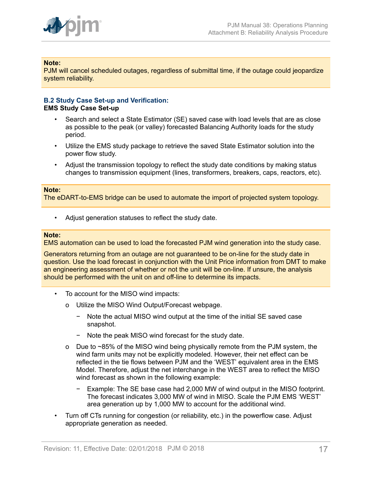

#### **Note:**

PJM will cancel scheduled outages, regardless of submittal time, if the outage could jeopardize system reliability.

#### **B.2 Study Case Set-up and Verification: EMS Study Case Set-up**

- Search and select a State Estimator (SE) saved case with load levels that are as close as possible to the peak (or valley) forecasted Balancing Authority loads for the study period.
- Utilize the EMS study package to retrieve the saved State Estimator solution into the power flow study.
- Adjust the transmission topology to reflect the study date conditions by making status changes to transmission equipment (lines, transformers, breakers, caps, reactors, etc).

#### **Note:**

The eDART-to-EMS bridge can be used to automate the import of projected system topology.

• Adjust generation statuses to reflect the study date.

#### **Note:**

EMS automation can be used to load the forecasted PJM wind generation into the study case.

Generators returning from an outage are not guaranteed to be on-line for the study date in question. Use the load forecast in conjunction with the Unit Price information from DMT to make an engineering assessment of whether or not the unit will be on-line. If unsure, the analysis should be performed with the unit on and off-line to determine its impacts.

- To account for the MISO wind impacts:
	- o Utilize the MISO Wind Output/Forecast webpage.
		- − Note the actual MISO wind output at the time of the initial SE saved case snapshot.
		- − Note the peak MISO wind forecast for the study date.
	- o Due to ~85% of the MISO wind being physically remote from the PJM system, the wind farm units may not be explicitly modeled. However, their net effect can be reflected in the tie flows between PJM and the 'WEST' equivalent area in the EMS Model. Therefore, adjust the net interchange in the WEST area to reflect the MISO wind forecast as shown in the following example:
		- − Example: The SE base case had 2,000 MW of wind output in the MISO footprint. The forecast indicates 3,000 MW of wind in MISO. Scale the PJM EMS 'WEST' area generation up by 1,000 MW to account for the additional wind.
- Turn off CTs running for congestion (or reliability, etc.) in the powerflow case. Adjust appropriate generation as needed.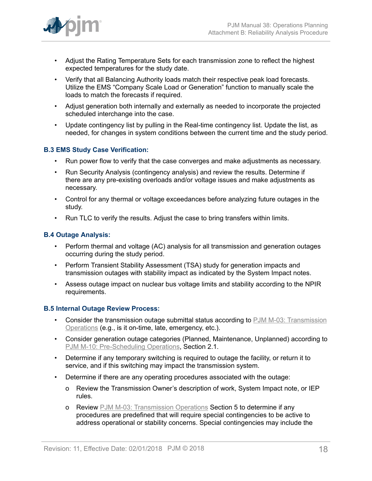- Adjust the Rating Temperature Sets for each transmission zone to reflect the highest expected temperatures for the study date.
- Verify that all Balancing Authority loads match their respective peak load forecasts. Utilize the EMS "Company Scale Load or Generation" function to manually scale the loads to match the forecasts if required.
- Adjust generation both internally and externally as needed to incorporate the projected scheduled interchange into the case.
- Update contingency list by pulling in the Real-time contingency list. Update the list, as needed, for changes in system conditions between the current time and the study period.

# **B.3 EMS Study Case Verification:**

- Run power flow to verify that the case converges and make adjustments as necessary.
- Run Security Analysis (contingency analysis) and review the results. Determine if there are any pre-existing overloads and/or voltage issues and make adjustments as necessary.
- Control for any thermal or voltage exceedances before analyzing future outages in the study.
- Run TLC to verify the results. Adjust the case to bring transfers within limits.

# **B.4 Outage Analysis:**

- Perform thermal and voltage (AC) analysis for all transmission and generation outages occurring during the study period.
- Perform Transient Stability Assessment (TSA) study for generation impacts and transmission outages with stability impact as indicated by the System Impact notes.
- Assess outage impact on nuclear bus voltage limits and stability according to the NPIR requirements.

# **B.5 Internal Outage Review Process:**

- Consider the transmission outage submittal status according to PJM M-03: [Transmission](http://www.pjm.com/~/media/documents/manuals/m03.ashx) [Operations](http://www.pjm.com/~/media/documents/manuals/m03.ashx) (e.g., is it on-time, late, emergency, etc.).
- Consider generation outage categories (Planned, Maintenance, Unplanned) according to [PJM M-10: Pre-Scheduling Operations,](http://www.pjm.com/~/media/documents/manuals/m10.ashx) Section 2.1.
- Determine if any temporary switching is required to outage the facility, or return it to service, and if this switching may impact the transmission system.
- Determine if there are any operating procedures associated with the outage:
	- o Review the Transmission Owner's description of work, System Impact note, or IEP rules.
	- o Review PJM M-03: [Transmission](http://www.pjm.com/~/media/documents/manuals/m03.ashx) Operations Section 5 to determine if any procedures are predefined that will require special contingencies to be active to address operational or stability concerns. Special contingencies may include the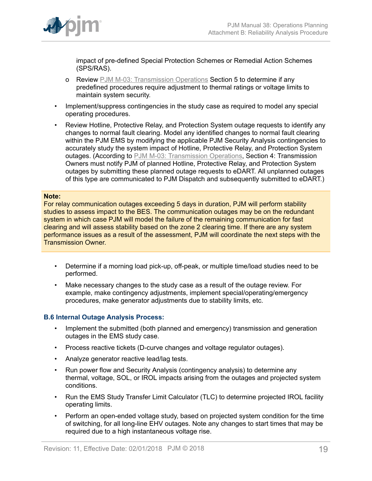

impact of pre-defined Special Protection Schemes or Remedial Action Schemes (SPS/RAS).

- o Review PJM M-03: [Transmission](http://www.pjm.com/~/media/documents/manuals/m03.ashx) Operations Section 5 to determine if any predefined procedures require adjustment to thermal ratings or voltage limits to maintain system security.
- Implement/suppress contingencies in the study case as required to model any special operating procedures.
- Review Hotline, Protective Relay, and Protection System outage requests to identify any changes to normal fault clearing. Model any identified changes to normal fault clearing within the PJM EMS by modifying the applicable PJM Security Analysis contingencies to accurately study the system impact of Hotline, Protective Relay, and Protection System outages. (According to PJM M-03: [Transmission](http://www.pjm.com/~/media/documents/manuals/m03.ashx) Operations, Section 4: Transmission Owners must notify PJM of planned Hotline, Protective Relay, and Protection System outages by submitting these planned outage requests to eDART. All unplanned outages of this type are communicated to PJM Dispatch and subsequently submitted to eDART.)

#### **Note:**

For relay communication outages exceeding 5 days in duration, PJM will perform stability studies to assess impact to the BES. The communication outages may be on the redundant system in which case PJM will model the failure of the remaining communication for fast clearing and will assess stability based on the zone 2 clearing time. If there are any system performance issues as a result of the assessment, PJM will coordinate the next steps with the Transmission Owner.

- Determine if a morning load pick-up, off-peak, or multiple time/load studies need to be performed.
- Make necessary changes to the study case as a result of the outage review. For example, make contingency adjustments, implement special/operating/emergency procedures, make generator adjustments due to stability limits, etc.

# **B.6 Internal Outage Analysis Process:**

- Implement the submitted (both planned and emergency) transmission and generation outages in the EMS study case.
- Process reactive tickets (D-curve changes and voltage regulator outages).
- Analyze generator reactive lead/lag tests.
- Run power flow and Security Analysis (contingency analysis) to determine any thermal, voltage, SOL, or IROL impacts arising from the outages and projected system conditions.
- Run the EMS Study Transfer Limit Calculator (TLC) to determine projected IROL facility operating limits.
- Perform an open-ended voltage study, based on projected system condition for the time of switching, for all long-line EHV outages. Note any changes to start times that may be required due to a high instantaneous voltage rise.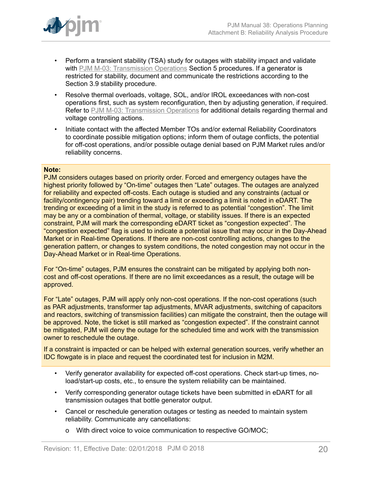

- Perform a transient stability (TSA) study for outages with stability impact and validate with PJM M-03: [Transmission](http://www.pjm.com/~/media/documents/manuals/m03.ashx) Operations Section 5 procedures. If a generator is restricted for stability, document and communicate the restrictions according to the Section 3.9 stability procedure.
- Resolve thermal overloads, voltage, SOL, and/or IROL exceedances with non-cost operations first, such as system reconfiguration, then by adjusting generation, if required. Refer to PJM M-03: [Transmission](http://www.pjm.com/~/media/documents/manuals/m03.ashx) Operations for additional details regarding thermal and voltage controlling actions.
- Initiate contact with the affected Member TOs and/or external Reliability Coordinators to coordinate possible mitigation options; inform them of outage conflicts, the potential for off-cost operations, and/or possible outage denial based on PJM Market rules and/or reliability concerns.

#### **Note:**

PJM considers outages based on priority order. Forced and emergency outages have the highest priority followed by "On-time" outages then "Late" outages. The outages are analyzed for reliability and expected off-costs. Each outage is studied and any constraints (actual or facility/contingency pair) trending toward a limit or exceeding a limit is noted in eDART. The trending or exceeding of a limit in the study is referred to as potential "congestion". The limit may be any or a combination of thermal, voltage, or stability issues. If there is an expected constraint, PJM will mark the corresponding eDART ticket as "congestion expected". The "congestion expected" flag is used to indicate a potential issue that may occur in the Day-Ahead Market or in Real-time Operations. If there are non-cost controlling actions, changes to the generation pattern, or changes to system conditions, the noted congestion may not occur in the Day-Ahead Market or in Real-time Operations.

For "On-time" outages, PJM ensures the constraint can be mitigated by applying both noncost and off-cost operations. If there are no limit exceedances as a result, the outage will be approved.

For "Late" outages, PJM will apply only non-cost operations. If the non-cost operations (such as PAR adjustments, transformer tap adjustments, MVAR adjustments, switching of capacitors and reactors, switching of transmission facilities) can mitigate the constraint, then the outage will be approved. Note, the ticket is still marked as "congestion expected". If the constraint cannot be mitigated, PJM will deny the outage for the scheduled time and work with the transmission owner to reschedule the outage.

If a constraint is impacted or can be helped with external generation sources, verify whether an IDC flowgate is in place and request the coordinated test for inclusion in M2M.

- Verify generator availability for expected off-cost operations. Check start-up times, noload/start-up costs, etc., to ensure the system reliability can be maintained.
- Verify corresponding generator outage tickets have been submitted in eDART for all transmission outages that bottle generator output.
- Cancel or reschedule generation outages or testing as needed to maintain system reliability. Communicate any cancellations:
	- o With direct voice to voice communication to respective GO/MOC;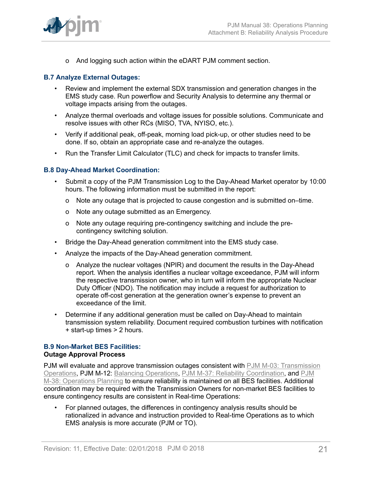

o And logging such action within the eDART PJM comment section.

# **B.7 Analyze External Outages:**

- Review and implement the external SDX transmission and generation changes in the EMS study case. Run powerflow and Security Analysis to determine any thermal or voltage impacts arising from the outages.
- Analyze thermal overloads and voltage issues for possible solutions. Communicate and resolve issues with other RCs (MISO, TVA, NYISO, etc.).
- Verify if additional peak, off-peak, morning load pick-up, or other studies need to be done. If so, obtain an appropriate case and re-analyze the outages.
- Run the Transfer Limit Calculator (TLC) and check for impacts to transfer limits.

#### **B.8 Day-Ahead Market Coordination:**

- Submit a copy of the PJM Transmission Log to the Day-Ahead Market operator by 10:00 hours. The following information must be submitted in the report:
	- o Note any outage that is projected to cause congestion and is submitted on–time.
	- o Note any outage submitted as an Emergency.
	- o Note any outage requiring pre-contingency switching and include the precontingency switching solution.
- Bridge the Day-Ahead generation commitment into the EMS study case.
- Analyze the impacts of the Day-Ahead generation commitment.
	- o Analyze the nuclear voltages (NPIR) and document the results in the Day-Ahead report. When the analysis identifies a nuclear voltage exceedance, PJM will inform the respective transmission owner, who in turn will inform the appropriate Nuclear Duty Officer (NDO). The notification may include a request for authorization to operate off-cost generation at the generation owner's expense to prevent an exceedance of the limit.
- Determine if any additional generation must be called on Day-Ahead to maintain transmission system reliability. Document required combustion turbines with notification + start-up times > 2 hours.

# **B.9 Non-Market BES Facilities:**

#### **Outage Approval Process**

PJM will evaluate and approve transmission outages consistent with PJM M-03: [Transmission](http://www.pjm.com/~/media/documents/manuals/m03.ashx) [Operations,](http://www.pjm.com/~/media/documents/manuals/m03.ashx) PJM M-12: [Balancing Operations](http://pjm.com/~/media/documents/manuals/m12.ashx), [PJM M-37: Reliability Coordination,](http://pjm.com/~/media/documents/manuals/m37.ashx) and [PJM](http://www.pjm.com/~/media/documents/manuals/m38.ashx) [M-38: Operations Planning](http://www.pjm.com/~/media/documents/manuals/m38.ashx) to ensure reliability is maintained on all BES facilities. Additional coordination may be required with the Transmission Owners for non-market BES facilities to ensure contingency results are consistent in Real-time Operations:

• For planned outages, the differences in contingency analysis results should be rationalized in advance and instruction provided to Real-time Operations as to which EMS analysis is more accurate (PJM or TO).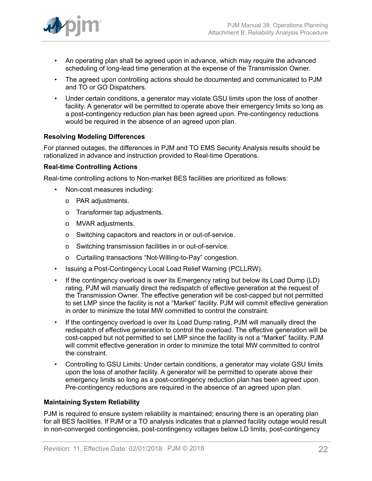

- An operating plan shall be agreed upon in advance, which may require the advanced scheduling of long-lead time generation at the expense of the Transmission Owner.
- The agreed upon controlling actions should be documented and communicated to PJM and TO or GO Dispatchers.
- Under certain conditions, a generator may violate GSU limits upon the loss of another facility. A generator will be permitted to operate above their emergency limits so long as a post-contingency reduction plan has been agreed upon. Pre-contingency reductions would be required in the absence of an agreed upon plan.

#### **Resolving Modeling Differences**

For planned outages, the differences in PJM and TO EMS Security Analysis results should be rationalized in advance and instruction provided to Real-time Operations.

#### **Real-time Controlling Actions**

Real-time controlling actions to Non-market BES facilities are prioritized as follows:

- Non-cost measures including:
	- o PAR adjustments.
	- o Transformer tap adjustments.
	- o MVAR adjustments.
	- o Switching capacitors and reactors in or out-of-service.
	- o Switching transmission facilities in or out-of-service.
	- o Curtailing transactions "Not-Willing-to-Pay" congestion.
- Issuing a Post-Contingency Local Load Relief Warning (PCLLRW).
- If the contingency overload is over its Emergency rating but below its Load Dump (LD) rating, PJM will manually direct the redispatch of effective generation at the request of the Transmission Owner. The effective generation will be cost-capped but not permitted to set LMP since the facility is not a "Market" facility. PJM will commit effective generation in order to minimize the total MW committed to control the constraint.
- If the contingency overload is over its Load Dump rating, PJM will manually direct the redispatch of effective generation to control the overload. The effective generation will be cost-capped but not permitted to set LMP since the facility is not a "Market" facility. PJM will commit effective generation in order to minimize the total MW committed to control the constraint.
- Controlling to GSU Limits: Under certain conditions, a generator may violate GSU limits upon the loss of another facility. A generator will be permitted to operate above their emergency limits so long as a post-contingency reduction plan has been agreed upon. Pre-contingency reductions are required in the absence of an agreed upon plan.

#### **Maintaining System Reliability**

PJM is required to ensure system reliability is maintained; ensuring there is an operating plan for all BES facilities. If PJM or a TO analysis indicates that a planned facility outage would result in non-converged contingencies, post-contingency voltages below LD limits, post-contingency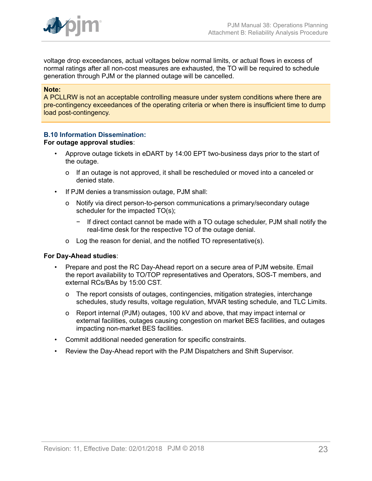

voltage drop exceedances, actual voltages below normal limits, or actual flows in excess of normal ratings after all non-cost measures are exhausted, the TO will be required to schedule generation through PJM or the planned outage will be cancelled.

#### **Note:**

A PCLLRW is not an acceptable controlling measure under system conditions where there are pre-contingency exceedances of the operating criteria or when there is insufficient time to dump load post-contingency.

# **B.10 Information Dissemination:**

#### **For outage approval studies**:

- Approve outage tickets in eDART by 14:00 EPT two-business days prior to the start of the outage.
	- o If an outage is not approved, it shall be rescheduled or moved into a canceled or denied state.
- If PJM denies a transmission outage, PJM shall:
	- o Notify via direct person-to-person communications a primary/secondary outage scheduler for the impacted TO(s);
		- − If direct contact cannot be made with a TO outage scheduler, PJM shall notify the real-time desk for the respective TO of the outage denial.
	- o Log the reason for denial, and the notified TO representative(s).

#### **For Day-Ahead studies**:

- Prepare and post the RC Day-Ahead report on a secure area of PJM website. Email the report availability to TO/TOP representatives and Operators, SOS-T members, and external RCs/BAs by 15:00 CST.
	- o The report consists of outages, contingencies, mitigation strategies, interchange schedules, study results, voltage regulation, MVAR testing schedule, and TLC Limits.
	- o Report internal (PJM) outages, 100 kV and above, that may impact internal or external facilities, outages causing congestion on market BES facilities, and outages impacting non-market BES facilities.
- Commit additional needed generation for specific constraints.
- Review the Day-Ahead report with the PJM Dispatchers and Shift Supervisor.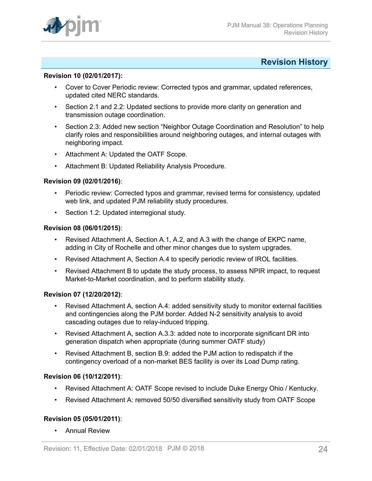

# <span id="page-23-0"></span>**Revision History**

#### **Revision 10 (02/01/2017):**

- Cover to Cover Periodic review: Corrected typos and grammar, updated references, updated cited NERC standards.
- Section 2.1 and 2.2: Updated sections to provide more clarity on generation and transmission outage coordination.
- Section 2.3: Added new section "Neighbor Outage Coordination and Resolution" to help clarify roles and responsibilities around neighboring outages, and internal outages with neighboring impact.
- Attachment A: Updated the OATF Scope.
- Attachment B: Updated Reliability Analysis Procedure.

#### **Revision 09 (02/01/2016)**:

- Periodic review: Corrected typos and grammar, revised terms for consistency, updated web link, and updated PJM reliability study procedures.
- Section 1.2: Updated interregional study.

# **Revision 08 (06/01/2015)**:

- Revised Attachment A, Section A.1, A.2, and A.3 with the change of EKPC name, adding in City of Rochelle and other minor changes due to system upgrades.
- Revised Attachment A, Section A.4 to specify periodic review of IROL facilities.
- Revised Attachment B to update the study process, to assess NPIR impact, to request Market-to-Market coordination, and to perform stability study.

# **Revision 07 (12/20/2012)**:

- Revised Attachment A, section A.4: added sensitivity study to monitor external facilities and contingencies along the PJM border. Added N-2 sensitivity analysis to avoid cascading outages due to relay-induced tripping.
- Revised Attachment A, section A.3.3: added note to incorporate significant DR into generation dispatch when appropriate (during summer OATF study)
- Revised Attachment B, section B.9: added the PJM action to redispatch if the contingency overload of a non-market BES facility is over its Load Dump rating.

# **Revision 06 (10/12/2011)**:

- Revised Attachment A: OATF Scope revised to include Duke Energy Ohio / Kentucky*.*
- Revised Attachment A: removed 50/50 diversified sensitivity study from OATF Scope

# **Revision 05 (05/01/2011)**:

• Annual Review